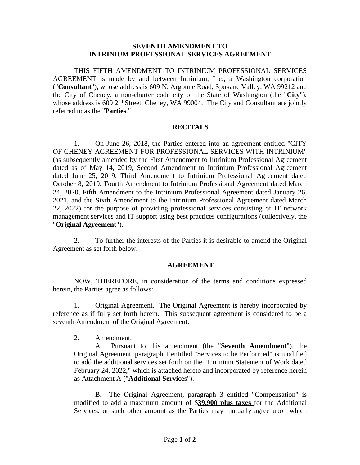## **SEVENTH AMENDMENT TO INTRINIUM PROFESSIONAL SERVICES AGREEMENT**

THIS FIFTH AMENDMENT TO INTRINIUM PROFESSIONAL SERVICES AGREEMENT is made by and between Intrinium, Inc., a Washington corporation ("**Consultant**"), whose address is 609 N. Argonne Road, Spokane Valley, WA 99212 and the City of Cheney, a non-charter code city of the State of Washington (the "**City**"), whose address is 609 2<sup>nd</sup> Street, Cheney, WA 99004. The City and Consultant are jointly referred to as the "**Parties**."

## **RECITALS**

1. On June 26, 2018, the Parties entered into an agreement entitled "CITY OF CHENEY AGREEMENT FOR PROFESSIONAL SERVICES WITH INTRINIUM" (as subsequently amended by the First Amendment to Intrinium Professional Agreement dated as of May 14, 2019, Second Amendment to Intrinium Professional Agreement dated June 25, 2019, Third Amendment to Intrinium Professional Agreement dated October 8, 2019, Fourth Amendment to Intrinium Professional Agreement dated March 24, 2020, Fifth Amendment to the Intrinium Professional Agreement dated January 26, 2021, and the Sixth Amendment to the Intrinium Professional Agreement dated March 22, 2022) for the purpose of providing professional services consisting of IT network management services and IT support using best practices configurations (collectively, the "**Original Agreement**").

2. To further the interests of the Parties it is desirable to amend the Original Agreement as set forth below.

## **AGREEMENT**

NOW, THEREFORE, in consideration of the terms and conditions expressed herein, the Parties agree as follows:

1. Original Agreement. The Original Agreement is hereby incorporated by reference as if fully set forth herein. This subsequent agreement is considered to be a seventh Amendment of the Original Agreement.

2. Amendment.

A. Pursuant to this amendment (the "**Seventh Amendment**"), the Original Agreement, paragraph 1 entitled "Services to be Performed" is modified to add the additional services set forth on the "Intrinium Statement of Work dated February 24, 2022," which is attached hereto and incorporated by reference herein as Attachment A ("**Additional Services**").

B. The Original Agreement, paragraph 3 entitled "Compensation" is modified to add a maximum amount of \$**39,900 plus taxes** for the Additional Services, or such other amount as the Parties may mutually agree upon which